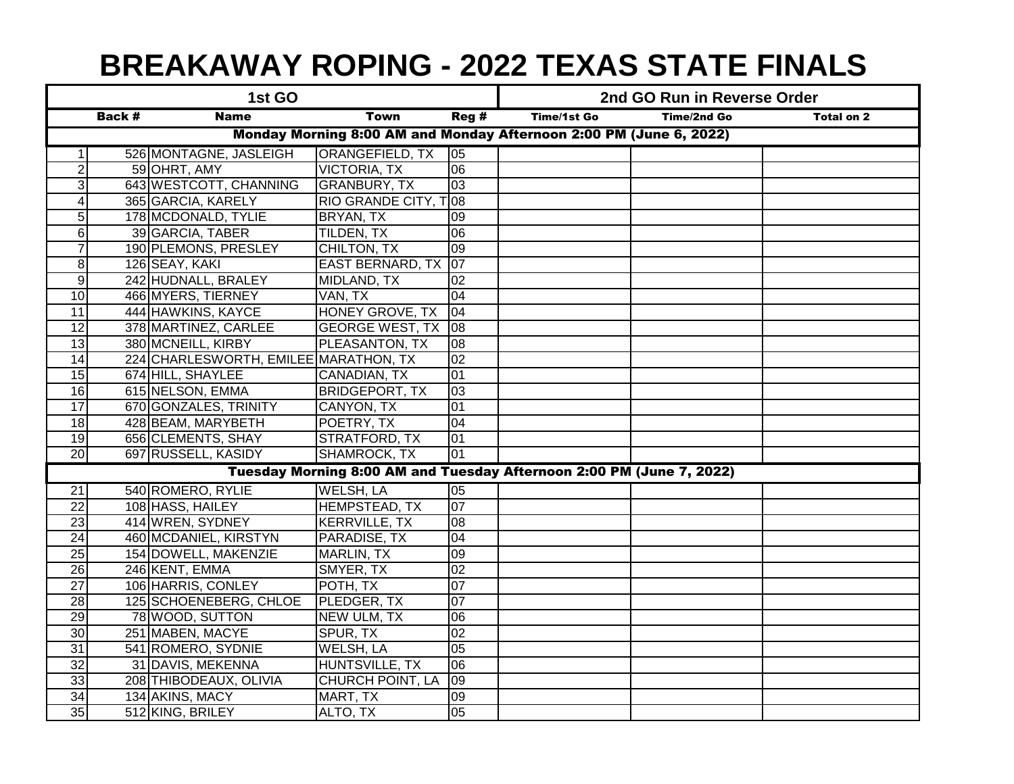## **BREAKAWAY ROPING - 2022 TEXAS STATE FINALS**

| 1st GO                                                             |        |                                       |                                                                      | 2nd GO Run in Reverse Order |                    |             |                   |  |
|--------------------------------------------------------------------|--------|---------------------------------------|----------------------------------------------------------------------|-----------------------------|--------------------|-------------|-------------------|--|
|                                                                    | Back # | <b>Name</b>                           | <b>Town</b>                                                          | Reg#                        | <b>Time/1st Go</b> | Time/2nd Go | <b>Total on 2</b> |  |
| Monday Morning 8:00 AM and Monday Afternoon 2:00 PM (June 6, 2022) |        |                                       |                                                                      |                             |                    |             |                   |  |
| 1 <sup>1</sup>                                                     |        | 526 MONTAGNE, JASLEIGH                | <b>ORANGEFIELD, TX</b>                                               | $ 05\rangle$                |                    |             |                   |  |
| $\overline{2}$                                                     |        | 59 OHRT, AMY                          | <b>VICTORIA, TX</b>                                                  | $\overline{00}$             |                    |             |                   |  |
| 3                                                                  |        | 643 WESTCOTT, CHANNING                | <b>GRANBURY, TX</b>                                                  | $\overline{03}$             |                    |             |                   |  |
| 4                                                                  |        | 365 GARCIA, KARELY                    | RIO GRANDE CITY, TO8                                                 |                             |                    |             |                   |  |
| $\overline{5}$                                                     |        | 178 MCDONALD, TYLIE                   | BRYAN, TX                                                            | 09                          |                    |             |                   |  |
| $\overline{6}$                                                     |        | 39 GARCIA, TABER                      | <b>TILDEN, TX</b>                                                    | 06                          |                    |             |                   |  |
| $\overline{7}$                                                     |        | 190 PLEMONS, PRESLEY                  | CHILTON, TX                                                          | 09                          |                    |             |                   |  |
| $\overline{8}$                                                     |        | 126 SEAY, KAKI                        | EAST BERNARD, TX 07                                                  |                             |                    |             |                   |  |
| $\overline{9}$                                                     |        | 242 HUDNALL, BRALEY                   | MIDLAND, TX                                                          | $\overline{02}$             |                    |             |                   |  |
| 10                                                                 |        | 466 MYERS, TIERNEY                    | VAN, TX                                                              | 04                          |                    |             |                   |  |
| 11                                                                 |        | 444 HAWKINS, KAYCE                    | HONEY GROVE, TX                                                      | 04                          |                    |             |                   |  |
| $\overline{12}$                                                    |        | 378 MARTINEZ, CARLEE                  | <b>GEORGE WEST, TX</b>                                               | $ 08\rangle$                |                    |             |                   |  |
| 13                                                                 |        | 380 MCNEILL, KIRBY                    | PLEASANTON, TX                                                       | 08                          |                    |             |                   |  |
| 14                                                                 |        | 224 CHARLESWORTH, EMILEE MARATHON, TX |                                                                      | 02                          |                    |             |                   |  |
| 15                                                                 |        | 674 HILL, SHAYLEE                     | CANADIAN, TX                                                         | 01                          |                    |             |                   |  |
| 16                                                                 |        | 615 NELSON, EMMA                      | <b>BRIDGEPORT, TX</b>                                                | $\overline{03}$             |                    |             |                   |  |
| 17                                                                 |        | 670 GONZALES, TRINITY                 | CANYON, TX                                                           | 01                          |                    |             |                   |  |
| 18                                                                 |        | 428 BEAM, MARYBETH                    | POETRY, TX                                                           | 04                          |                    |             |                   |  |
| 19                                                                 |        | 656 CLEMENTS, SHAY                    | <b>STRATFORD, TX</b>                                                 | 01                          |                    |             |                   |  |
| 20                                                                 |        | 697 RUSSELL, KASIDY                   | SHAMROCK, TX                                                         | 01                          |                    |             |                   |  |
|                                                                    |        |                                       | Tuesday Morning 8:00 AM and Tuesday Afternoon 2:00 PM (June 7, 2022) |                             |                    |             |                   |  |
| 21                                                                 |        | 540 ROMERO, RYLIE                     | <b>WELSH, LA</b>                                                     | 05                          |                    |             |                   |  |
| $\overline{22}$                                                    |        | 108 HASS, HAILEY                      | <b>HEMPSTEAD, TX</b>                                                 | 07                          |                    |             |                   |  |
| 23                                                                 |        | 414 WREN, SYDNEY                      | <b>KERRVILLE, TX</b>                                                 | $\overline{80}$             |                    |             |                   |  |
| 24                                                                 |        | 460 MCDANIEL, KIRSTYN                 | PARADISE, TX                                                         | 04                          |                    |             |                   |  |
| $\overline{25}$                                                    |        | 154 DOWELL, MAKENZIE                  | <b>MARLIN, TX</b>                                                    | 09                          |                    |             |                   |  |
| $\overline{26}$                                                    |        | 246 KENT, EMMA                        | SMYER, TX                                                            | 02                          |                    |             |                   |  |
| $\overline{27}$                                                    |        | 106 HARRIS, CONLEY                    | POTH, TX                                                             | $\overline{07}$             |                    |             |                   |  |
| 28                                                                 |        | 125 SCHOENEBERG, CHLOE                | PLEDGER, TX                                                          | $\overline{07}$             |                    |             |                   |  |
| 29                                                                 |        | 78 WOOD, SUTTON                       | <b>NEW ULM, TX</b>                                                   | $\overline{00}$             |                    |             |                   |  |
| 30                                                                 |        | 251 MABEN, MACYE                      | SPUR, TX                                                             | $\overline{0}$              |                    |             |                   |  |
| 31                                                                 |        | 541 ROMERO, SYDNIE                    | <b>WELSH, LA</b>                                                     | 05                          |                    |             |                   |  |
| 32                                                                 |        | 31 DAVIS, MEKENNA                     | HUNTSVILLE, TX                                                       | $\overline{00}$             |                    |             |                   |  |
| 33                                                                 |        | 208 THIBODEAUX, OLIVIA                | <b>CHURCH POINT, LA</b>                                              | $\overline{09}$             |                    |             |                   |  |
| 34                                                                 |        | 134 AKINS, MACY                       | MART, TX                                                             | $\overline{60}$             |                    |             |                   |  |
| 35                                                                 |        | 512 KING, BRILEY                      | ALTO, TX                                                             | 05                          |                    |             |                   |  |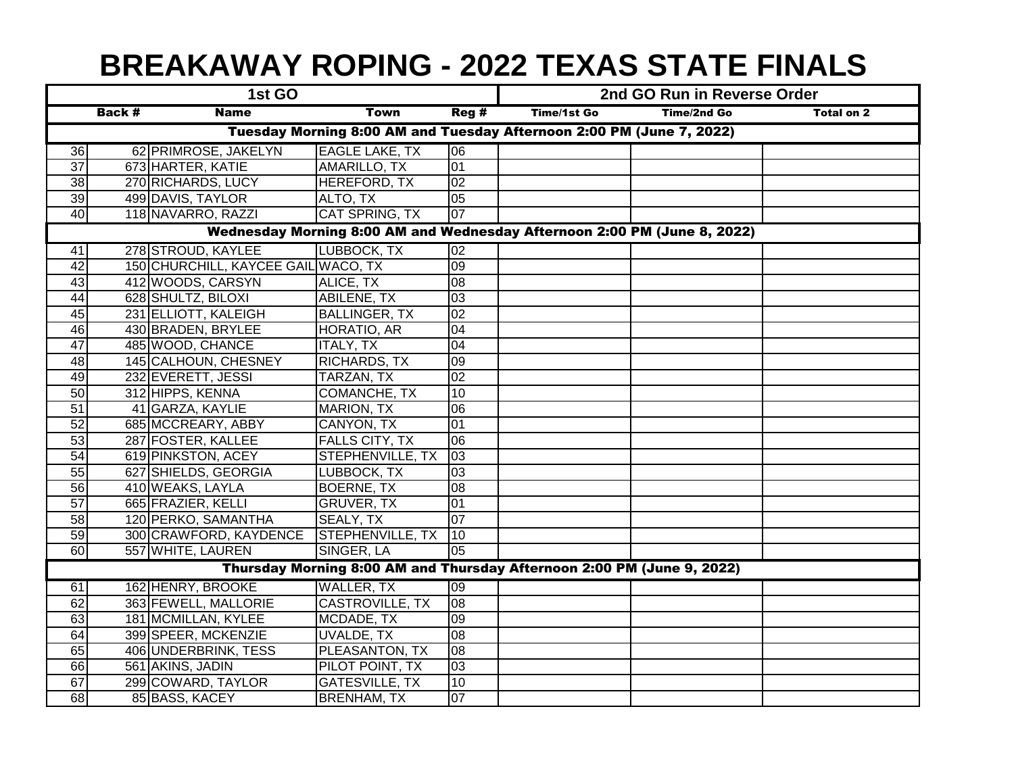## **BREAKAWAY ROPING - 2022 TEXAS STATE FINALS**

|                                                                          | 1st GO        |                                     |                        |                 | 2nd GO Run in Reverse Order |             |                   |  |
|--------------------------------------------------------------------------|---------------|-------------------------------------|------------------------|-----------------|-----------------------------|-------------|-------------------|--|
|                                                                          | <b>Back #</b> | <b>Name</b>                         | <b>Town</b>            | Reg#            | Time/1st Go                 | Time/2nd Go | <b>Total on 2</b> |  |
| Tuesday Morning 8:00 AM and Tuesday Afternoon 2:00 PM (June 7, 2022)     |               |                                     |                        |                 |                             |             |                   |  |
| 36                                                                       |               | 62 PRIMROSE, JAKELYN                | <b>EAGLE LAKE, TX</b>  | 06              |                             |             |                   |  |
| $\overline{37}$                                                          |               | 673 HARTER, KATIE                   | AMARILLO, TX           | $\overline{01}$ |                             |             |                   |  |
| $\overline{38}$                                                          |               | 270 RICHARDS, LUCY                  | <b>HEREFORD, TX</b>    | $\overline{0}$  |                             |             |                   |  |
| 39                                                                       |               | 499 DAVIS, TAYLOR                   | ALTO, TX               | 05              |                             |             |                   |  |
| 40                                                                       |               | 118 NAVARRO, RAZZI                  | CAT SPRING, TX         | 07              |                             |             |                   |  |
| Wednesday Morning 8:00 AM and Wednesday Afternoon 2:00 PM (June 8, 2022) |               |                                     |                        |                 |                             |             |                   |  |
| 41                                                                       |               | 278 STROUD, KAYLEE                  | LUBBOCK, TX            | $\overline{02}$ |                             |             |                   |  |
| 42                                                                       |               | 150 CHURCHILL, KAYCEE GAIL WACO, TX |                        | 60              |                             |             |                   |  |
| $\overline{43}$                                                          |               | 412 WOODS, CARSYN                   | ALICE, TX              | 08              |                             |             |                   |  |
| 44                                                                       |               | 628 SHULTZ, BILOXI                  | ABILENE, TX            | 03              |                             |             |                   |  |
| 45                                                                       |               | 231 ELLIOTT, KALEIGH                | <b>BALLINGER, TX</b>   | 02              |                             |             |                   |  |
| 46                                                                       |               | 430 BRADEN, BRYLEE                  | HORATIO, AR            | 04              |                             |             |                   |  |
| $\overline{47}$                                                          |               | 485 WOOD, CHANCE                    | <b>ITALY, TX</b>       | 04              |                             |             |                   |  |
| 48                                                                       |               | 145 CALHOUN, CHESNEY                | RICHARDS, TX           | 09              |                             |             |                   |  |
| 49                                                                       |               | 232 EVERETT, JESSI                  | TARZAN, TX             | 02              |                             |             |                   |  |
| 50                                                                       |               | 312 HIPPS, KENNA                    | COMANCHE, TX           | 10              |                             |             |                   |  |
| 51                                                                       |               | 41 GARZA, KAYLIE                    | <b>MARION, TX</b>      | 06              |                             |             |                   |  |
| $\overline{52}$                                                          |               | 685 MCCREARY, ABBY                  | CANYON, TX             | 01              |                             |             |                   |  |
| 53                                                                       |               | 287 FOSTER, KALLEE                  | <b>FALLS CITY, TX</b>  | $\overline{00}$ |                             |             |                   |  |
| 54                                                                       |               | 619 PINKSTON, ACEY                  | STEPHENVILLE, TX       | $ 03\rangle$    |                             |             |                   |  |
| $\overline{55}$                                                          |               | 627 SHIELDS, GEORGIA                | LUBBOCK, TX            | 03              |                             |             |                   |  |
| 56                                                                       |               | 410 WEAKS, LAYLA                    | <b>BOERNE, TX</b>      | 08              |                             |             |                   |  |
| $\overline{57}$                                                          |               | 665 FRAZIER, KELLI                  | <b>GRUVER, TX</b>      | 01              |                             |             |                   |  |
| 58                                                                       |               | 120 PERKO, SAMANTHA                 | SEALY, TX              | 107             |                             |             |                   |  |
| 59                                                                       |               | 300 CRAWFORD, KAYDENCE              | STEPHENVILLE, TX       | 110             |                             |             |                   |  |
| 60                                                                       |               | 557 WHITE, LAUREN                   | SINGER, LA             | 05              |                             |             |                   |  |
| Thursday Morning 8:00 AM and Thursday Afternoon 2:00 PM (June 9, 2022)   |               |                                     |                        |                 |                             |             |                   |  |
| 61                                                                       |               | 162 HENRY, BROOKE                   | <b>WALLER, TX</b>      | 09              |                             |             |                   |  |
| 62                                                                       |               | 363 FEWELL, MALLORIE                | <b>CASTROVILLE, TX</b> | 08              |                             |             |                   |  |
| 63                                                                       |               | 181 MCMILLAN, KYLEE                 | MCDADE, TX             | 09              |                             |             |                   |  |
| 64                                                                       |               | 399 SPEER, MCKENZIE                 | <b>UVALDE, TX</b>      | 08              |                             |             |                   |  |
| 65                                                                       |               | 406 UNDERBRINK, TESS                | PLEASANTON, TX         | 08              |                             |             |                   |  |
| 66                                                                       |               | 561 AKINS, JADIN                    | PILOT POINT, TX        | 03              |                             |             |                   |  |
| 67                                                                       |               | 299 COWARD, TAYLOR                  | <b>GATESVILLE, TX</b>  | 10              |                             |             |                   |  |
| 68                                                                       |               | 85 BASS, KACEY                      | <b>BRENHAM, TX</b>     | 07              |                             |             |                   |  |